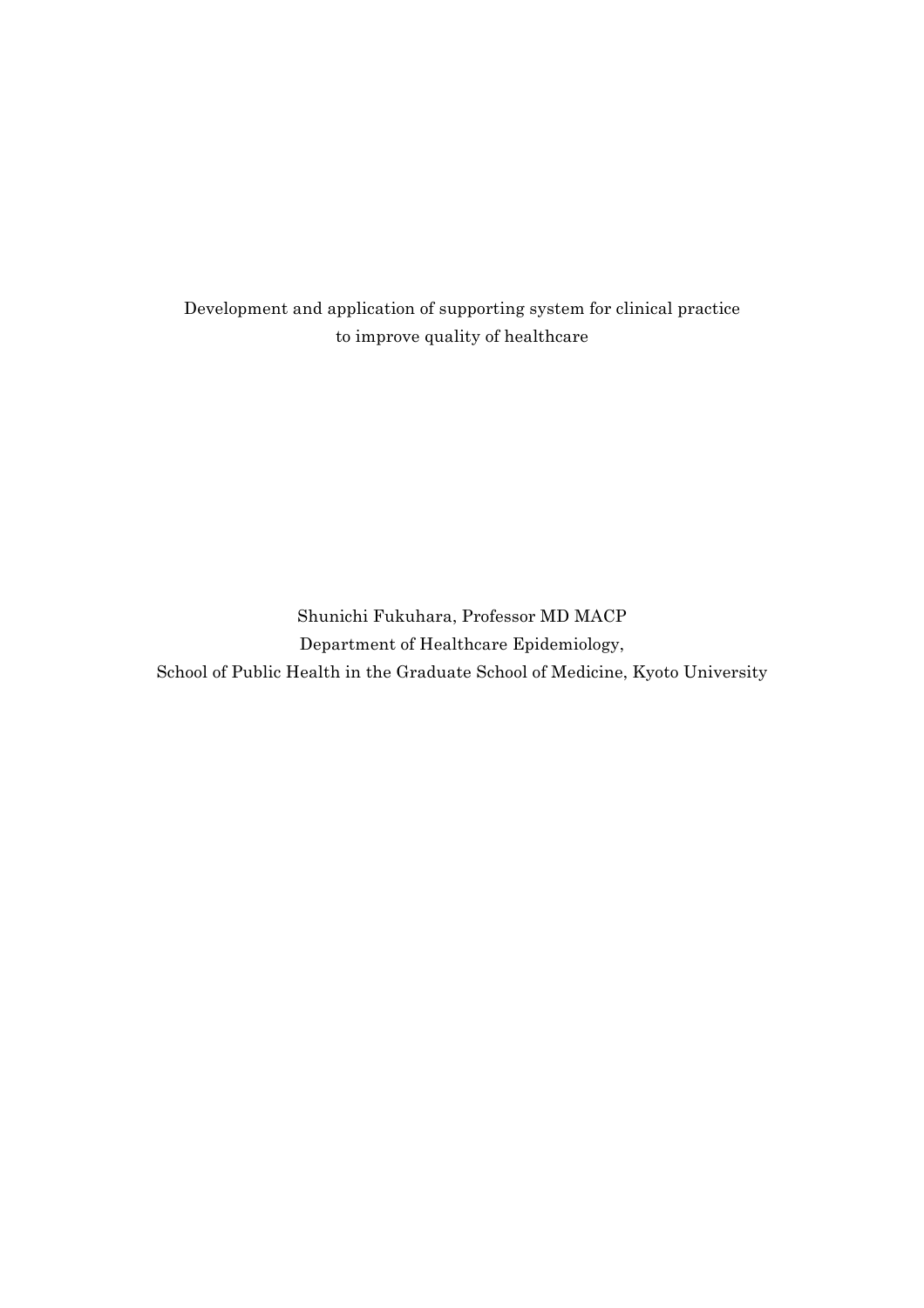Development and application of supporting system for clinical practice to improve quality of healthcare

Shunichi Fukuhara, Professor MD MACP Department of Healthcare Epidemiology, School of Public Health in the Graduate School of Medicine, Kyoto University